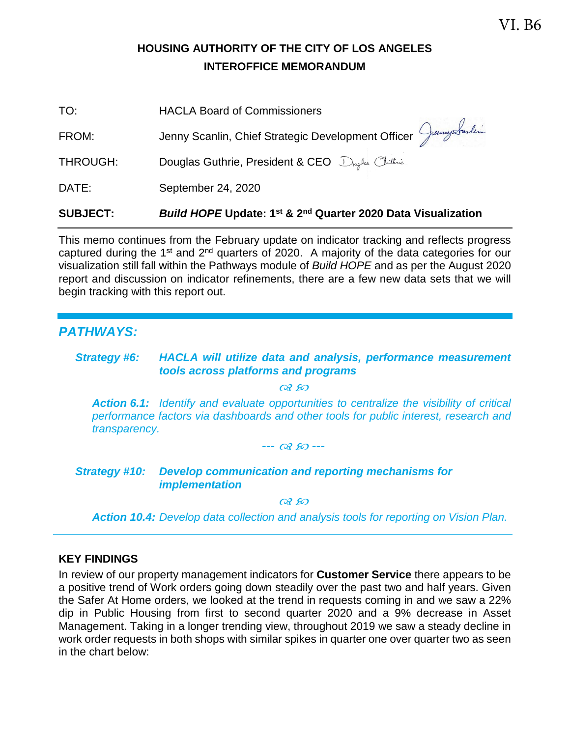### **HOUSING AUTHORITY OF THE CITY OF LOS ANGELES INTEROFFICE MEMORANDUM**

| <b>SUBJECT:</b> | Build HOPE Update: 1 <sup>st</sup> & 2 <sup>nd</sup> Quarter 2020 Data Visualization |
|-----------------|--------------------------------------------------------------------------------------|
| DATE:           | September 24, 2020                                                                   |
| THROUGH:        | Douglas Guthrie, President & CEO Druglus Chithnic                                    |
| FROM:           | Jenny Scanlin, Chief Strategic Development Officer Juny Sarling                      |
| TO:             | <b>HACLA Board of Commissioners</b>                                                  |

This memo continues from the February update on indicator tracking and reflects progress captured during the 1<sup>st</sup> and 2<sup>nd</sup> quarters of 2020. A majority of the data categories for our visualization still fall within the Pathways module of *Build HOPE* and as per the August 2020 report and discussion on indicator refinements, there are a few new data sets that we will begin tracking with this report out.

#### *PATHWAYS:*

#### *Strategy #6: HACLA will utilize data and analysis, performance measurement tools across platforms and programs*

 $\alpha$   $\wp$ 

*Action 6.1: Identify and evaluate opportunities to centralize the visibility of critical performance factors via dashboards and other tools for public interest, research and transparency.*

*--- ---* 

#### *Strategy #10: Develop communication and reporting mechanisms for implementation*

 $OR$   $RO$ 

*Action 10.4: Develop data collection and analysis tools for reporting on Vision Plan.*

#### **KEY FINDINGS**

In review of our property management indicators for **Customer Service** there appears to be a positive trend of Work orders going down steadily over the past two and half years. Given the Safer At Home orders, we looked at the trend in requests coming in and we saw a 22% dip in Public Housing from first to second quarter 2020 and a 9% decrease in Asset Management. Taking in a longer trending view, throughout 2019 we saw a steady decline in work order requests in both shops with similar spikes in quarter one over quarter two as seen in the chart below: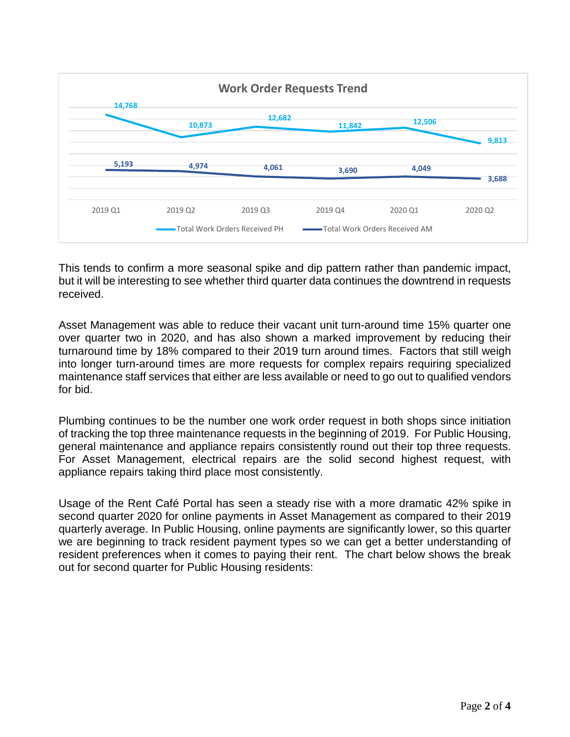

This tends to confirm a more seasonal spike and dip pattern rather than pandemic impact, but it will be interesting to see whether third quarter data continues the downtrend in requests received.

Asset Management was able to reduce their vacant unit turn-around time 15% quarter one over quarter two in 2020, and has also shown a marked improvement by reducing their turnaround time by 18% compared to their 2019 turn around times. Factors that still weigh into longer turn-around times are more requests for complex repairs requiring specialized maintenance staff services that either are less available or need to go out to qualified vendors for bid.

Plumbing continues to be the number one work order request in both shops since initiation of tracking the top three maintenance requests in the beginning of 2019. For Public Housing, general maintenance and appliance repairs consistently round out their top three requests. For Asset Management, electrical repairs are the solid second highest request, with appliance repairs taking third place most consistently.

Usage of the Rent Café Portal has seen a steady rise with a more dramatic 42% spike in second quarter 2020 for online payments in Asset Management as compared to their 2019 quarterly average. In Public Housing, online payments are significantly lower, so this quarter we are beginning to track resident payment types so we can get a better understanding of resident preferences when it comes to paying their rent. The chart below shows the break out for second quarter for Public Housing residents: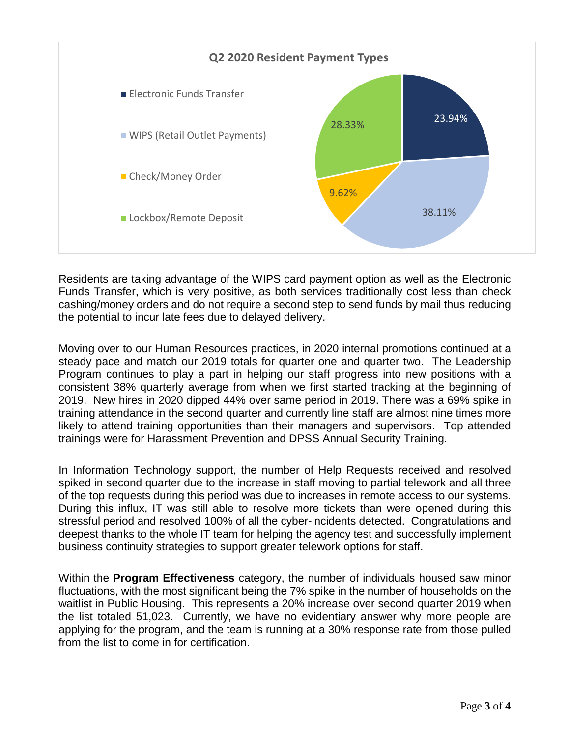

Residents are taking advantage of the WIPS card payment option as well as the Electronic Funds Transfer, which is very positive, as both services traditionally cost less than check cashing/money orders and do not require a second step to send funds by mail thus reducing the potential to incur late fees due to delayed delivery.

Moving over to our Human Resources practices, in 2020 internal promotions continued at a steady pace and match our 2019 totals for quarter one and quarter two. The Leadership Program continues to play a part in helping our staff progress into new positions with a consistent 38% quarterly average from when we first started tracking at the beginning of 2019. New hires in 2020 dipped 44% over same period in 2019. There was a 69% spike in training attendance in the second quarter and currently line staff are almost nine times more likely to attend training opportunities than their managers and supervisors. Top attended trainings were for Harassment Prevention and DPSS Annual Security Training.

In Information Technology support, the number of Help Requests received and resolved spiked in second quarter due to the increase in staff moving to partial telework and all three of the top requests during this period was due to increases in remote access to our systems. During this influx, IT was still able to resolve more tickets than were opened during this stressful period and resolved 100% of all the cyber-incidents detected. Congratulations and deepest thanks to the whole IT team for helping the agency test and successfully implement business continuity strategies to support greater telework options for staff.

Within the **Program Effectiveness** category, the number of individuals housed saw minor fluctuations, with the most significant being the 7% spike in the number of households on the waitlist in Public Housing. This represents a 20% increase over second quarter 2019 when the list totaled 51,023. Currently, we have no evidentiary answer why more people are applying for the program, and the team is running at a 30% response rate from those pulled from the list to come in for certification.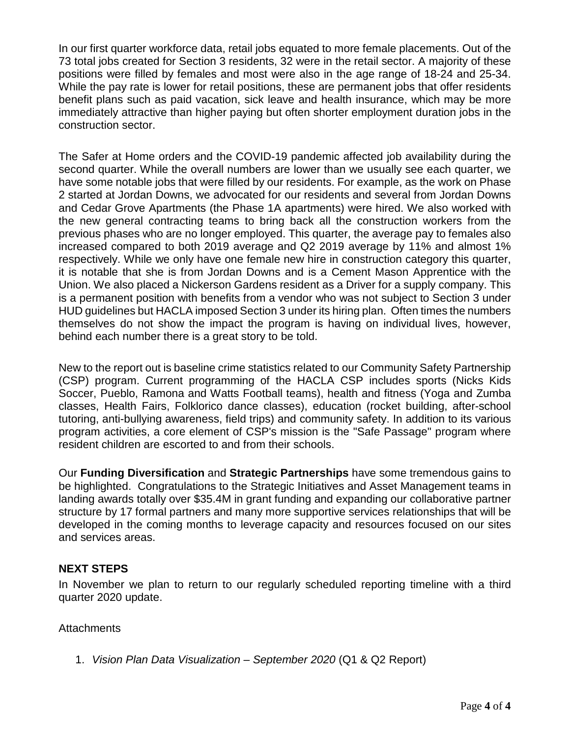In our first quarter workforce data, retail jobs equated to more female placements. Out of the 73 total jobs created for Section 3 residents, 32 were in the retail sector. A majority of these positions were filled by females and most were also in the age range of 18-24 and 25-34. While the pay rate is lower for retail positions, these are permanent jobs that offer residents benefit plans such as paid vacation, sick leave and health insurance, which may be more immediately attractive than higher paying but often shorter employment duration jobs in the construction sector.

The Safer at Home orders and the COVID-19 pandemic affected job availability during the second quarter. While the overall numbers are lower than we usually see each quarter, we have some notable jobs that were filled by our residents. For example, as the work on Phase 2 started at Jordan Downs, we advocated for our residents and several from Jordan Downs and Cedar Grove Apartments (the Phase 1A apartments) were hired. We also worked with the new general contracting teams to bring back all the construction workers from the previous phases who are no longer employed. This quarter, the average pay to females also increased compared to both 2019 average and Q2 2019 average by 11% and almost 1% respectively. While we only have one female new hire in construction category this quarter, it is notable that she is from Jordan Downs and is a Cement Mason Apprentice with the Union. We also placed a Nickerson Gardens resident as a Driver for a supply company. This is a permanent position with benefits from a vendor who was not subject to Section 3 under HUD guidelines but HACLA imposed Section 3 under its hiring plan. Often times the numbers themselves do not show the impact the program is having on individual lives, however, behind each number there is a great story to be told.

New to the report out is baseline crime statistics related to our Community Safety Partnership (CSP) program. Current programming of the HACLA CSP includes sports (Nicks Kids Soccer, Pueblo, Ramona and Watts Football teams), health and fitness (Yoga and Zumba classes, Health Fairs, Folklorico dance classes), education (rocket building, after-school tutoring, anti-bullying awareness, field trips) and community safety. In addition to its various program activities, a core element of CSP's mission is the "Safe Passage" program where resident children are escorted to and from their schools.

Our **Funding Diversification** and **Strategic Partnerships** have some tremendous gains to be highlighted. Congratulations to the Strategic Initiatives and Asset Management teams in landing awards totally over \$35.4M in grant funding and expanding our collaborative partner structure by 17 formal partners and many more supportive services relationships that will be developed in the coming months to leverage capacity and resources focused on our sites and services areas.

#### **NEXT STEPS**

In November we plan to return to our regularly scheduled reporting timeline with a third quarter 2020 update.

#### **Attachments**

1. *Vision Plan Data Visualization – September 2020* (Q1 & Q2 Report)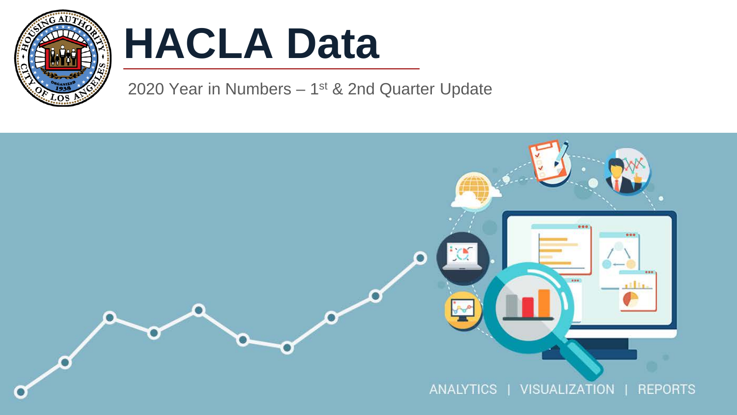

# **HACLA Data**

2020 Year in Numbers  $-1^{st}$  & 2nd Quarter Update

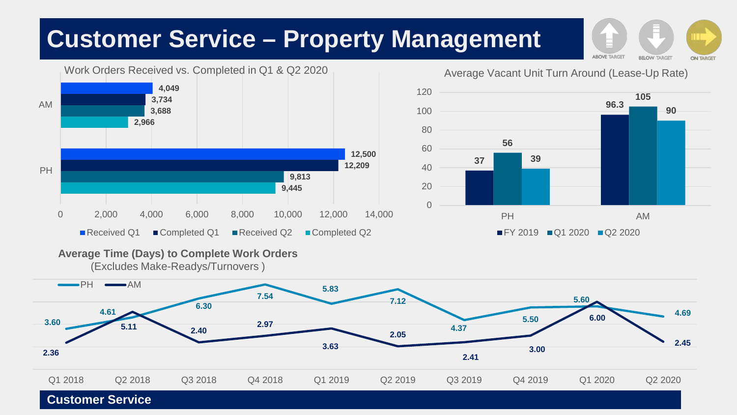# **Customer Service – Property Management**



**Average Time (Days) to Complete Work Orders** 

(Excludes Make-Readys/Turnovers )



Average Vacant Unit Turn Around (Lease-Up Rate)



**ABOVE TARGET BELOW TARGET ON TARGET**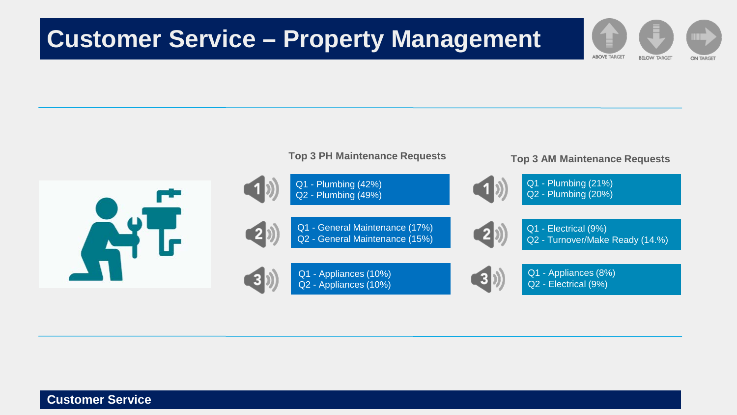## **Customer Service – Property Management**



**ABOVE TARGET** 

**BELOW TARGET** 

**ON TARGET**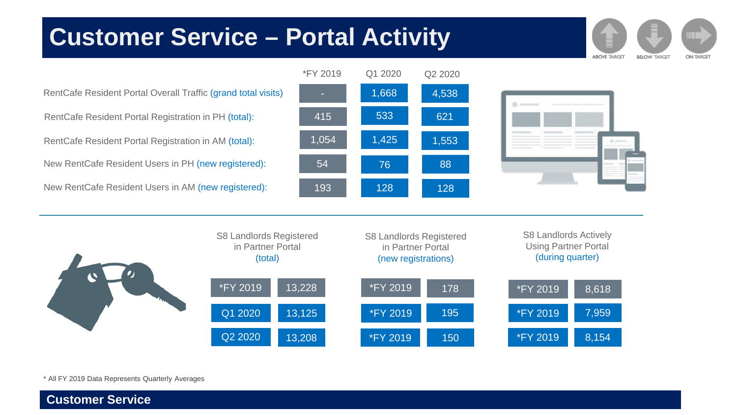# **Customer Service Customer Service – Portal Activity**

**ABOVE TARGET BELOW TARGET** ON TARGET

RentCafe Resident Portal Registration in AM (total): RentCafe Resident Portal Registration in PH (total): New RentCafe Resident Users in AM (new registered): New RentCafe Resident Users in PH (new registered): RentCafe Resident Portal Overall Traffic (grand total visits) **1999** 1,668 4,538







\* All FY 2019 Data Represents Quarterly Averages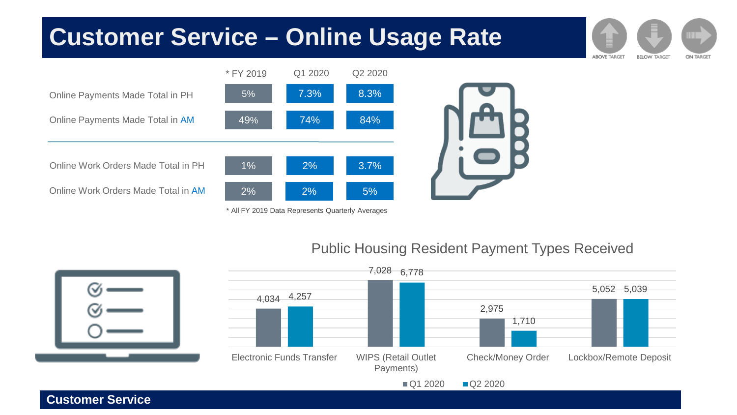### **Customer Service – Online Usage Rate**



\* All FY 2019 Data Represents Quarterly Averages

**Customer Service**

#### Public Housing Resident Payment Types Received

**ABOVE TARGET** 

**BELOW TARGET** 

**ON TARGET** 

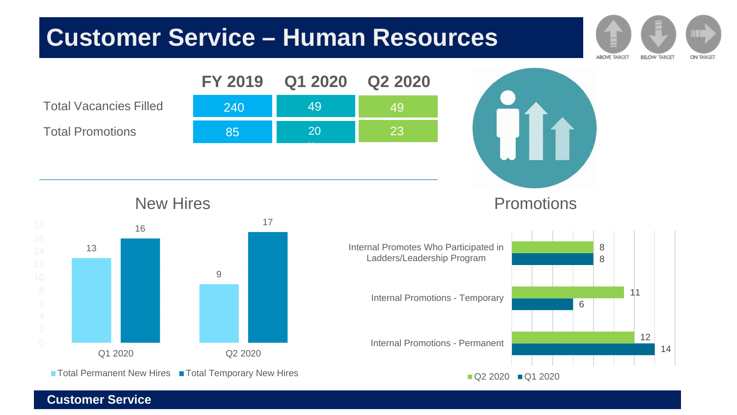# **Customer Service Customer Service – Human Resources**

Total Vacancies Filled Total Promotions





**ABOVE TARGET** 

**BELOW TARGET** 

**ON TARGET** 

New Hires



■ Total Permanent New Hires ■ Total Temporary New Hires

### Promotions

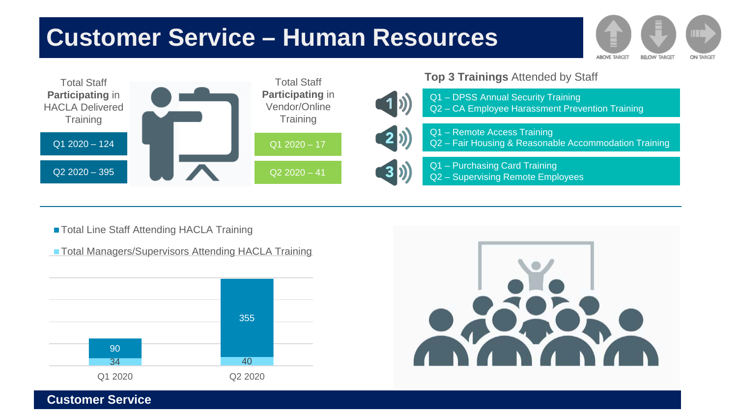# **Customer Service Customer Service – Human Resources**



**Top 3 Trainings** Attended by Staff



Q1 – DPSS Annual Security Training Q2 – CA Employee Harassment Prevention Training



Q1 – Remote Access Training Q2 – Fair Housing & Reasonable Accommodation Training

**ABOVE TARGET** 

**BELOW TARGET** 

**ON TARGET** 

Q1 – Purchasing Card Training Q2 – Supervising Remote Employees

■ Total Line Staff Attending HACLA Training

■ Total Managers/Supervisors Attending HACLA Training



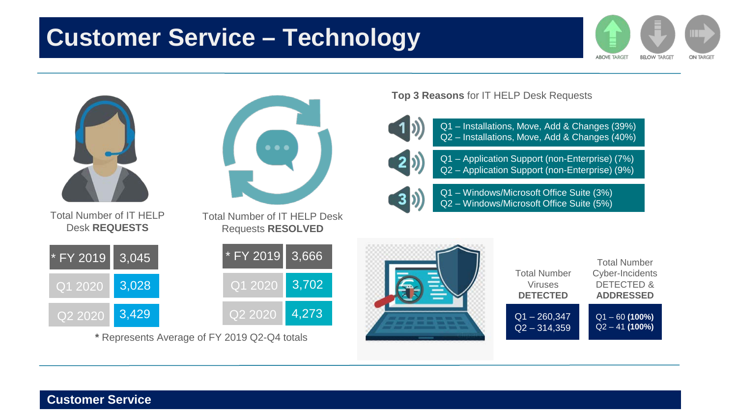# **Customer Service Customer Service – Technology**





DETECTED & **ADDRESSED** Q1 – 60 **(100%)** Q2 – 41 **(100%)**

Total Number Cyber-Incidents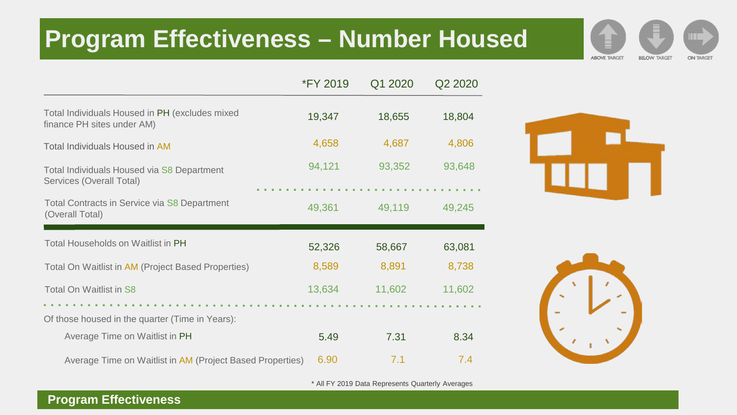# **Program Effectiveness – Number Housed**

|                                                                              | <b>*FY 2019</b> | Q1 2020 | Q2 2020 |
|------------------------------------------------------------------------------|-----------------|---------|---------|
| Total Individuals Housed in PH (excludes mixed<br>finance PH sites under AM) | 19,347          | 18,655  | 18,804  |
| Total Individuals Housed in AM                                               | 4,658           | 4,687   | 4,806   |
| Total Individuals Housed via S8 Department<br>Services (Overall Total)       | 94,121          | 93,352  | 93,648  |
| Total Contracts in Service via S8 Department<br>(Overall Total)              | 49,361          | 49,119  | 49,245  |
| Total Households on Waitlist in PH                                           | 52,326          | 58,667  | 63,081  |
| Total On Waitlist in AM (Project Based Properties)                           | 8,589           | 8,891   | 8,738   |
| Total On Waitlist in S8                                                      | 13,634          | 11,602  | 11,602  |
| Of those housed in the quarter (Time in Years):                              |                 |         |         |
| Average Time on Waitlist in PH                                               | 5.49            | 7.31    | 8.34    |
| Average Time on Waitlist in AM (Project Based Properties)                    | 6.90            | 7.1     | 7.4     |

**ABOVE TARGET** 

**BELOW TARGET** 

**ON TARGET** 



\* All FY 2019 Data Represents Quarterly Averages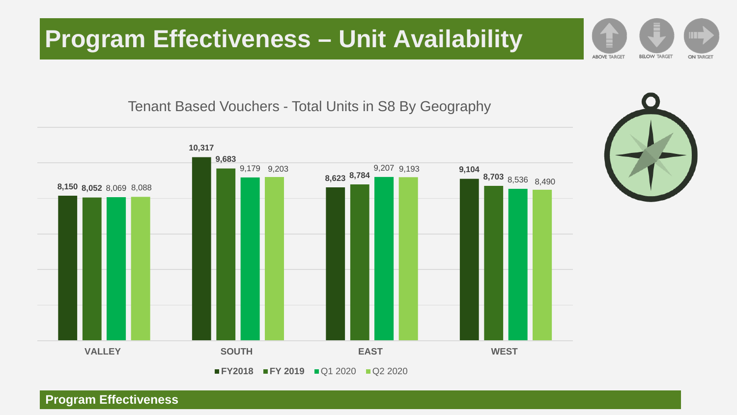# **Program Effectiveness – Unit Availability**

Tenant Based Vouchers - Total Units in S8 By Geography



#### **Program Effectiveness**

**ABOVE TARGET BELOW TARGET ON TARGET**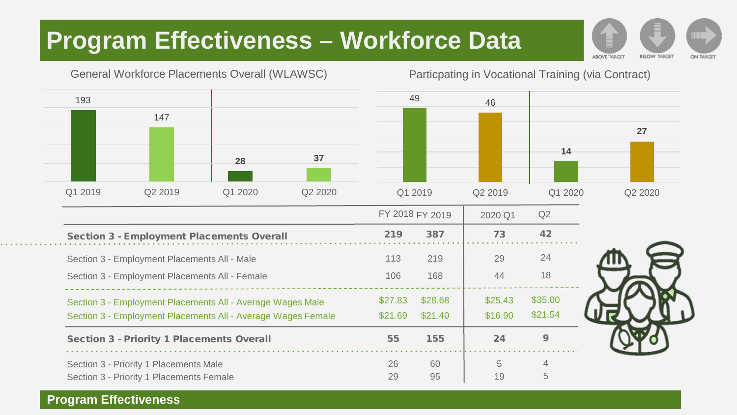# **Program Effectiveness – Workforce Data**

**ABOVE TARGET BELOW TARGET ON TARGET** 



#### Particpating in Vocational Training (via Contract)



|                                                                                                                            |                    | FY 2018 FY 2019    |                    | Q2                 |
|----------------------------------------------------------------------------------------------------------------------------|--------------------|--------------------|--------------------|--------------------|
| <b>Section 3 - Employment Placements Overall</b>                                                                           | 219                | 387                | 73                 | 42                 |
| Section 3 - Employment Placements All - Male                                                                               | 113                | 219                | 29                 | 24                 |
| Section 3 - Employment Placements All - Female                                                                             | 106                | 168                | 44                 | 18                 |
| Section 3 - Employment Placements All - Average Wages Male<br>Section 3 - Employment Placements All - Average Wages Female | \$27.83<br>\$21.69 | \$28.68<br>\$21.40 | \$25.43<br>\$16.90 | \$35.00<br>\$21.54 |
| <b>Section 3 - Priority 1 Placements Overall</b>                                                                           | 55                 | 155                | 24                 | 9                  |
| Section 3 - Priority 1 Placements Male<br>Section 3 - Priority 1 Placements Female                                         | 26<br>29           | 60<br>95           | 5<br>19            | 4<br>5             |

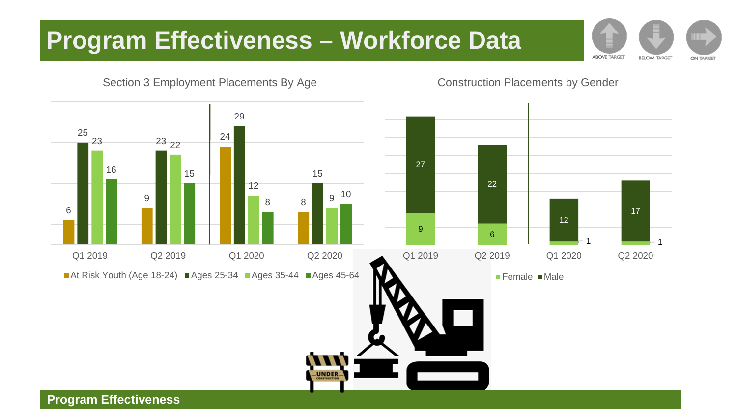# **Program Effectiveness – Workforce Data**

**ABOVE TARGET BELOW TARGET ON TARGET** 



Construction Placements by Gender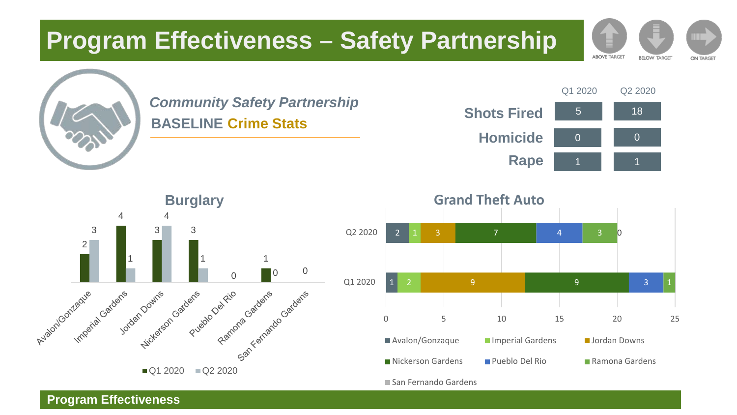# **Program Effectiveness – Safety Partnership**



### *Community Safety Partnership* **BASELINE Crime Stats**



**ABOVE TARGET** 

**BELOW TARGET** 

**ON TARGET** 



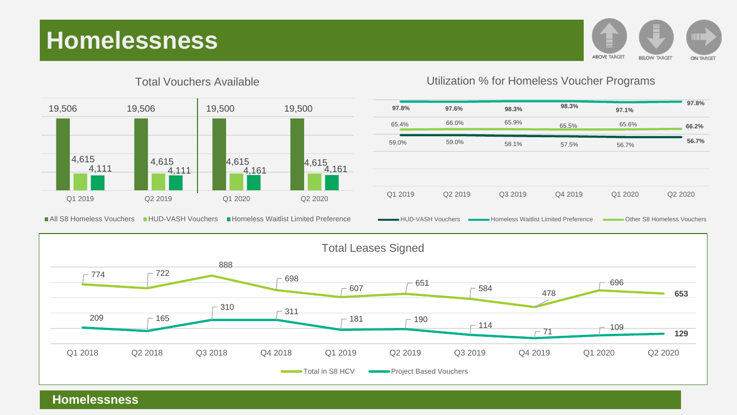# **Homelessness**





Total Vouchers Available

Utilization % for Homeless Voucher Programs





**Homelessness**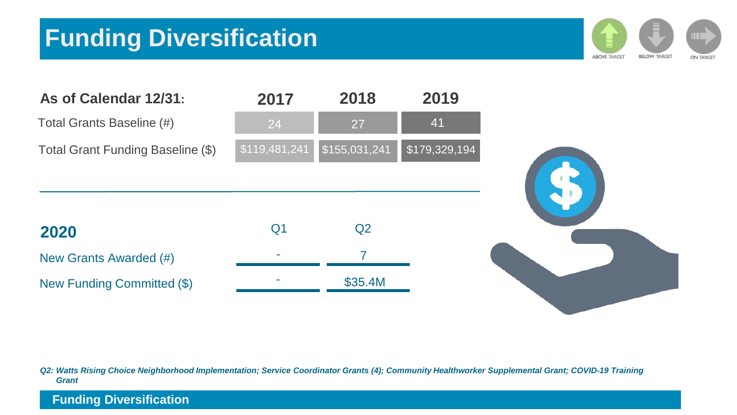# **Funding Diversification**





*Q2: Watts Rising Choice Neighborhood Implementation; Service Coordinator Grants (4); Community Healthworker Supplemental Grant; COVID-19 Training Grant*

#### **Funding Diversification**